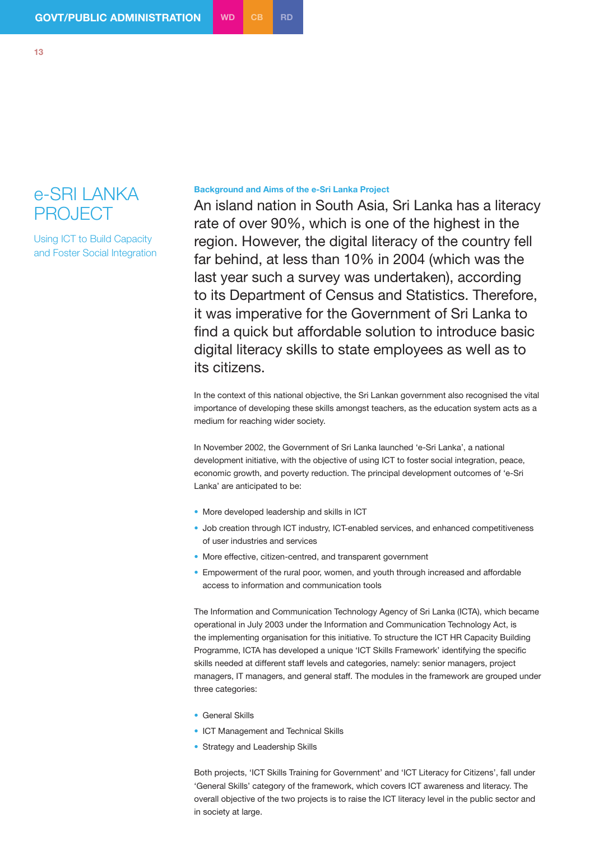## e-SRI LANKA PROJECT

Using ICT to Build Capacity and Foster Social Integration

## **Background and Aims of the e-Sri Lanka Project**

An island nation in South Asia, Sri Lanka has a literacy rate of over 90%, which is one of the highest in the region. However, the digital literacy of the country fell far behind, at less than 10% in 2004 (which was the last year such a survey was undertaken), according to its Department of Census and Statistics. Therefore, it was imperative for the Government of Sri Lanka to find a quick but affordable solution to introduce basic digital literacy skills to state employees as well as to its citizens.

In the context of this national objective, the Sri Lankan government also recognised the vital importance of developing these skills amongst teachers, as the education system acts as a medium for reaching wider society.

In November 2002, the Government of Sri Lanka launched 'e-Sri Lanka', a national development initiative, with the objective of using ICT to foster social integration, peace, economic growth, and poverty reduction. The principal development outcomes of 'e-Sri Lanka' are anticipated to be:

- More developed leadership and skills in ICT
- Job creation through ICT industry, ICT-enabled services, and enhanced competitiveness of user industries and services
- More effective, citizen-centred, and transparent government
- Empowerment of the rural poor, women, and youth through increased and affordable access to information and communication tools

The Information and Communication Technology Agency of Sri Lanka (ICTA), which became operational in July 2003 under the Information and Communication Technology Act, is the implementing organisation for this initiative. To structure the ICT HR Capacity Building Programme, ICTA has developed a unique 'ICT Skills Framework' identifying the specific skills needed at different staff levels and categories, namely: senior managers, project managers, IT managers, and general staff. The modules in the framework are grouped under three categories:

- **General Skills**
- ICT Management and Technical Skills
- Strategy and Leadership Skills

Both projects, 'ICT Skills Training for Government' and 'ICT Literacy for Citizens', fall under 'General Skills' category of the framework, which covers ICT awareness and literacy. The overall objective of the two projects is to raise the ICT literacy level in the public sector and in society at large.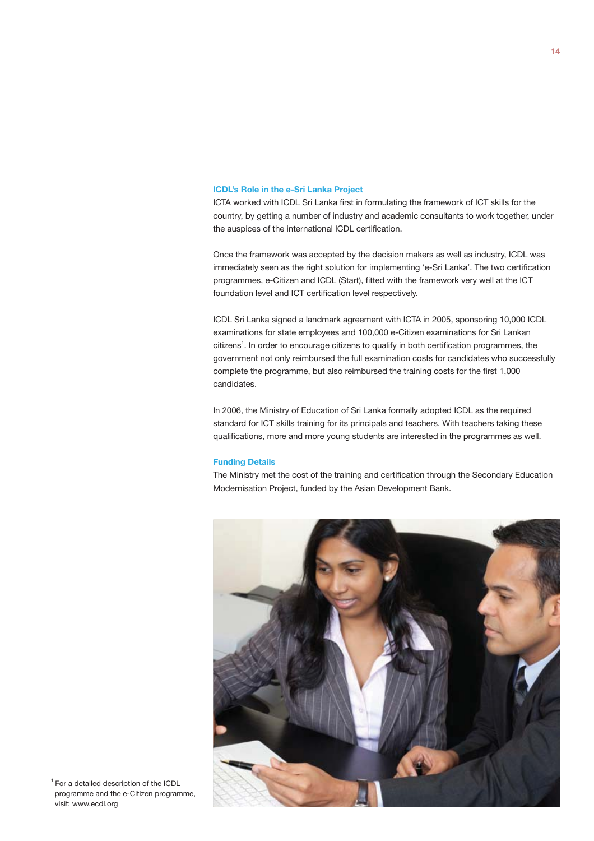## **ICDL's Role in the e-Sri Lanka Project**

ICTA worked with ICDL Sri Lanka first in formulating the framework of ICT skills for the country, by getting a number of industry and academic consultants to work together, under the auspices of the international ICDL certification.

Once the framework was accepted by the decision makers as well as industry, ICDL was immediately seen as the right solution for implementing 'e-Sri Lanka'. The two certification programmes, e-Citizen and ICDL (Start), fitted with the framework very well at the ICT foundation level and ICT certification level respectively.

ICDL Sri Lanka signed a landmark agreement with ICTA in 2005, sponsoring 10,000 ICDL examinations for state employees and 100,000 e-Citizen examinations for Sri Lankan citizens<sup>1</sup>. In order to encourage citizens to qualify in both certification programmes, the government not only reimbursed the full examination costs for candidates who successfully complete the programme, but also reimbursed the training costs for the first 1,000 candidates.

In 2006, the Ministry of Education of Sri Lanka formally adopted ICDL as the required standard for ICT skills training for its principals and teachers. With teachers taking these qualifications, more and more young students are interested in the programmes as well.

## **Funding Details**

The Ministry met the cost of the training and certification through the Secondary Education Modernisation Project, funded by the Asian Development Bank.



<sup>1</sup> For a detailed description of the ICDL programme and the e-Citizen programme, visit: www.ecdl.org